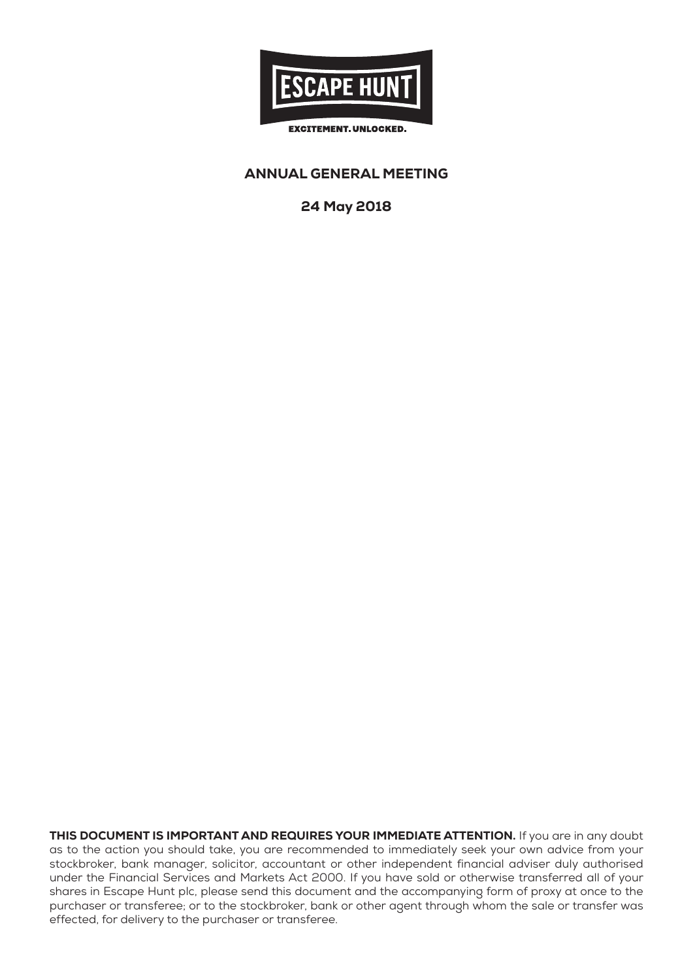

# ANNUAL GENERAL MEETING

24 May 2018

THIS DOCUMENT IS IMPORTANT AND REQUIRES YOUR IMMEDIATE ATTENTION. If you are in any doubt as to the action you should take, you are recommended to immediately seek your own advice from your stockbroker, bank manager, solicitor, accountant or other independent financial adviser duly authorised under the Financial Services and Markets Act 2000. If you have sold or otherwise transferred all of your shares in Escape Hunt plc, please send this document and the accompanying form of proxy at once to the purchaser or transferee; or to the stockbroker, bank or other agent through whom the sale or transfer was effected, for delivery to the purchaser or transferee.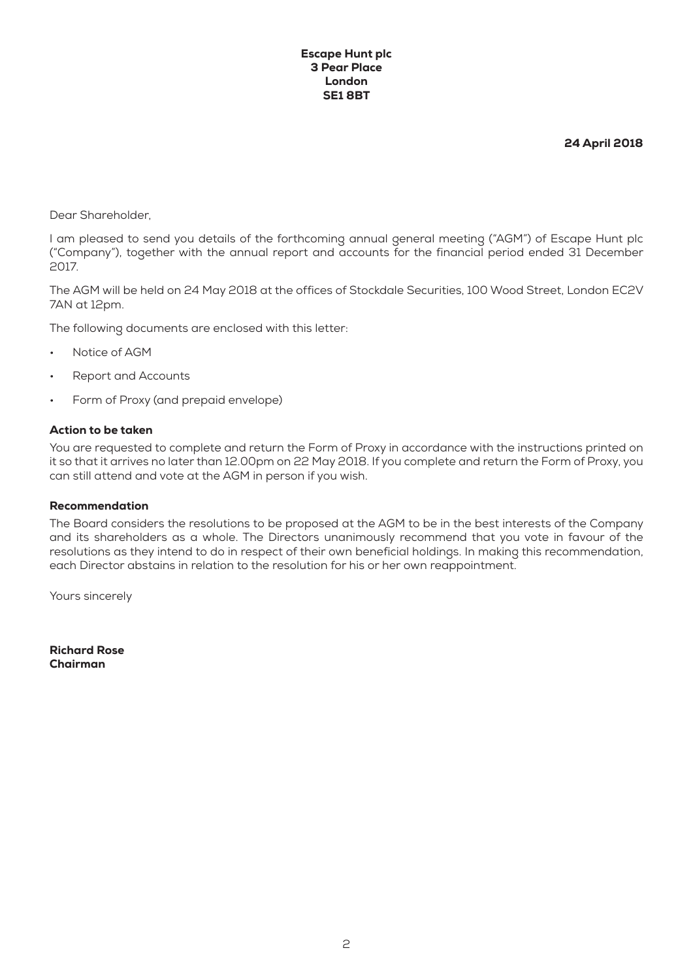#### Escape Hunt plc 3 Pear Place London SE1 8BT

24 April 2018

Dear Shareholder,

I am pleased to send you details of the forthcoming annual general meeting ("AGM") of Escape Hunt plc ("Company"), together with the annual report and accounts for the financial period ended 31 December 2017.

The AGM will be held on 24 May 2018 at the offices of Stockdale Securities, 100 Wood Street, London EC2V 7AN at 12pm.

The following documents are enclosed with this letter:

- Notice of AGM
- Report and Accounts
- Form of Proxy (and prepaid envelope)

### Action to be taken

You are requested to complete and return the Form of Proxy in accordance with the instructions printed on it so that it arrives no later than 12.00pm on 22 May 2018. If you complete and return the Form of Proxy, you can still attend and vote at the AGM in person if you wish.

#### Recommendation

The Board considers the resolutions to be proposed at the AGM to be in the best interests of the Company and its shareholders as a whole. The Directors unanimously recommend that you vote in favour of the resolutions as they intend to do in respect of their own beneficial holdings. In making this recommendation, each Director abstains in relation to the resolution for his or her own reappointment.

Yours sincerely

Richard Rose Chairman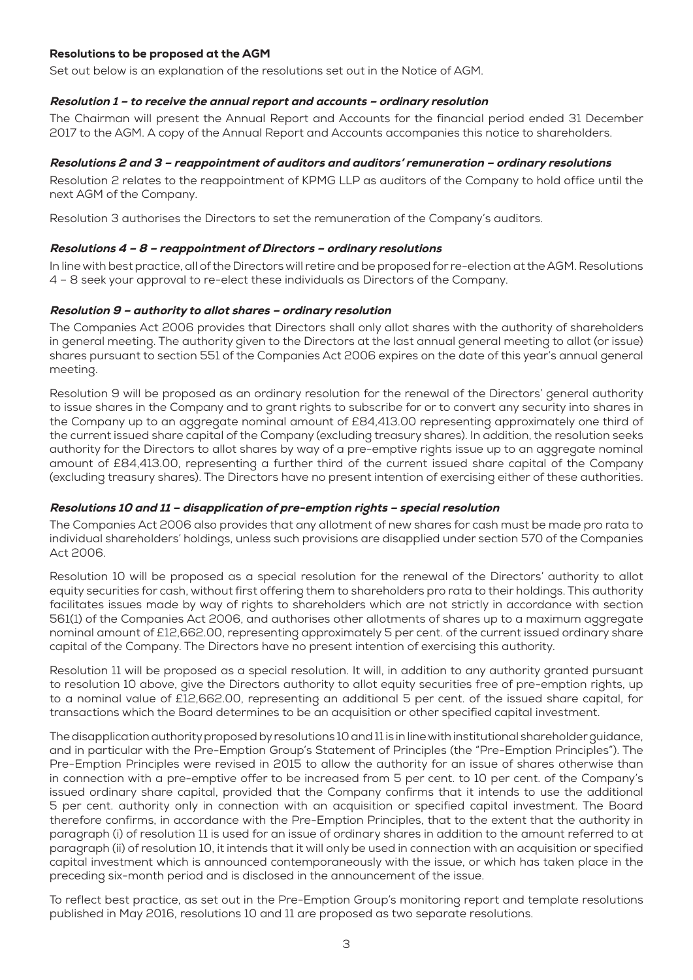## Resolutions to be proposed at the AGM

Set out below is an explanation of the resolutions set out in the Notice of AGM.

## Resolution 1 – to receive the annual report and accounts – ordinary resolution

The Chairman will present the Annual Report and Accounts for the financial period ended 31 December 2017 to the AGM. A copy of the Annual Report and Accounts accompanies this notice to shareholders.

### Resolutions 2 and 3 – reappointment of auditors and auditors' remuneration – ordinary resolutions

Resolution 2 relates to the reappointment of KPMG LLP as auditors of the Company to hold office until the next AGM of the Company.

Resolution 3 authorises the Directors to set the remuneration of the Company's auditors.

## Resolutions 4 – 8 – reappointment of Directors – ordinary resolutions

In line with best practice, all of the Directors will retire and be proposed for re-election at the AGM. Resolutions 4 – 8 seek your approval to re-elect these individuals as Directors of the Company.

#### Resolution 9 – authority to allot shares – ordinary resolution

The Companies Act 2006 provides that Directors shall only allot shares with the authority of shareholders in general meeting. The authority given to the Directors at the last annual general meeting to allot (or issue) shares pursuant to section 551 of the Companies Act 2006 expires on the date of this year's annual general meeting.

Resolution 9 will be proposed as an ordinary resolution for the renewal of the Directors' general authority to issue shares in the Company and to grant rights to subscribe for or to convert any security into shares in the Company up to an aggregate nominal amount of £84,413.00 representing approximately one third of the current issued share capital of the Company (excluding treasury shares). In addition, the resolution seeks authority for the Directors to allot shares by way of a pre-emptive rights issue up to an aggregate nominal amount of £84,413.00, representing a further third of the current issued share capital of the Company (excluding treasury shares). The Directors have no present intention of exercising either of these authorities.

## Resolutions 10 and 11 – disapplication of pre-emption rights – special resolution

The Companies Act 2006 also provides that any allotment of new shares for cash must be made pro rata to individual shareholders' holdings, unless such provisions are disapplied under section 570 of the Companies Act 2006.

Resolution 10 will be proposed as a special resolution for the renewal of the Directors' authority to allot equity securities for cash, without first offering them to shareholders pro rata to their holdings. This authority facilitates issues made by way of rights to shareholders which are not strictly in accordance with section 561(1) of the Companies Act 2006, and authorises other allotments of shares up to a maximum aggregate nominal amount of £12,662.00, representing approximately 5 per cent. of the current issued ordinary share capital of the Company. The Directors have no present intention of exercising this authority.

Resolution 11 will be proposed as a special resolution. It will, in addition to any authority granted pursuant to resolution 10 above, give the Directors authority to allot equity securities free of pre-emption rights, up to a nominal value of £12,662.00, representing an additional 5 per cent. of the issued share capital, for transactions which the Board determines to be an acquisition or other specified capital investment.

The disapplication authority proposed by resolutions 10 and 11 is in line with institutional shareholder guidance, and in particular with the Pre-Emption Group's Statement of Principles (the "Pre-Emption Principles"). The Pre-Emption Principles were revised in 2015 to allow the authority for an issue of shares otherwise than in connection with a pre-emptive offer to be increased from 5 per cent. to 10 per cent. of the Company's issued ordinary share capital, provided that the Company confirms that it intends to use the additional 5 per cent. authority only in connection with an acquisition or specified capital investment. The Board therefore confirms, in accordance with the Pre-Emption Principles, that to the extent that the authority in paragraph (i) of resolution 11 is used for an issue of ordinary shares in addition to the amount referred to at paragraph (ii) of resolution 10, it intends that it will only be used in connection with an acquisition or specified capital investment which is announced contemporaneously with the issue, or which has taken place in the preceding six-month period and is disclosed in the announcement of the issue.

To reflect best practice, as set out in the Pre-Emption Group's monitoring report and template resolutions published in May 2016, resolutions 10 and 11 are proposed as two separate resolutions.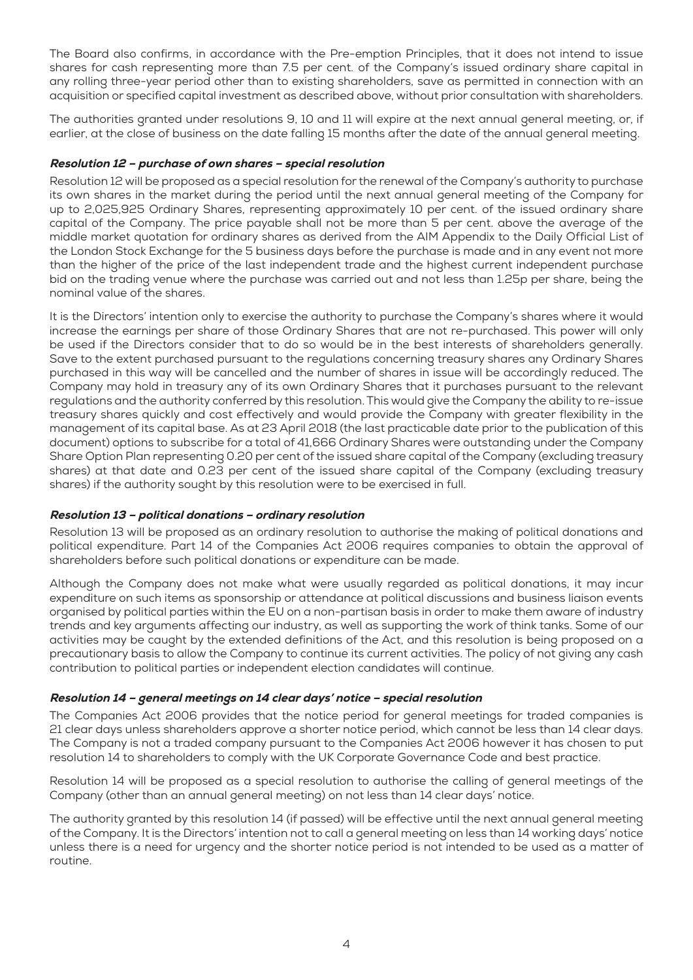The Board also confirms, in accordance with the Pre-emption Principles, that it does not intend to issue shares for cash representing more than 7.5 per cent. of the Company's issued ordinary share capital in any rolling three-year period other than to existing shareholders, save as permitted in connection with an acquisition or specified capital investment as described above, without prior consultation with shareholders.

The authorities granted under resolutions 9, 10 and 11 will expire at the next annual general meeting, or, if earlier, at the close of business on the date falling 15 months after the date of the annual general meeting.

## Resolution 12 – purchase of own shares – special resolution

Resolution 12 will be proposed as a special resolution for the renewal of the Company's authority to purchase its own shares in the market during the period until the next annual general meeting of the Company for up to 2,025,925 Ordinary Shares, representing approximately 10 per cent. of the issued ordinary share capital of the Company. The price payable shall not be more than 5 per cent. above the average of the middle market quotation for ordinary shares as derived from the AIM Appendix to the Daily Official List of the London Stock Exchange for the 5 business days before the purchase is made and in any event not more than the higher of the price of the last independent trade and the highest current independent purchase bid on the trading venue where the purchase was carried out and not less than 1.25p per share, being the nominal value of the shares.

It is the Directors' intention only to exercise the authority to purchase the Company's shares where it would increase the earnings per share of those Ordinary Shares that are not re-purchased. This power will only be used if the Directors consider that to do so would be in the best interests of shareholders generally. Save to the extent purchased pursuant to the regulations concerning treasury shares any Ordinary Shares purchased in this way will be cancelled and the number of shares in issue will be accordingly reduced. The Company may hold in treasury any of its own Ordinary Shares that it purchases pursuant to the relevant regulations and the authority conferred by this resolution. This would give the Company the ability to re-issue treasury shares quickly and cost effectively and would provide the Company with greater flexibility in the management of its capital base. As at 23 April 2018 (the last practicable date prior to the publication of this document) options to subscribe for a total of 41,666 Ordinary Shares were outstanding under the Company Share Option Plan representing 0.20 per cent of the issued share capital of the Company (excluding treasury shares) at that date and 0.23 per cent of the issued share capital of the Company (excluding treasury shares) if the authority sought by this resolution were to be exercised in full.

## Resolution 13 – political donations – ordinary resolution

Resolution 13 will be proposed as an ordinary resolution to authorise the making of political donations and political expenditure. Part 14 of the Companies Act 2006 requires companies to obtain the approval of shareholders before such political donations or expenditure can be made.

Although the Company does not make what were usually regarded as political donations, it may incur expenditure on such items as sponsorship or attendance at political discussions and business liaison events organised by political parties within the EU on a non-partisan basis in order to make them aware of industry trends and key arguments affecting our industry, as well as supporting the work of think tanks. Some of our activities may be caught by the extended definitions of the Act, and this resolution is being proposed on a precautionary basis to allow the Company to continue its current activities. The policy of not giving any cash contribution to political parties or independent election candidates will continue.

# Resolution 14 – general meetings on 14 clear days' notice – special resolution

The Companies Act 2006 provides that the notice period for general meetings for traded companies is 21 clear days unless shareholders approve a shorter notice period, which cannot be less than 14 clear days. The Company is not a traded company pursuant to the Companies Act 2006 however it has chosen to put resolution 14 to shareholders to comply with the UK Corporate Governance Code and best practice.

Resolution 14 will be proposed as a special resolution to authorise the calling of general meetings of the Company (other than an annual general meeting) on not less than 14 clear days' notice.

The authority granted by this resolution 14 (if passed) will be effective until the next annual general meeting of the Company. It is the Directors' intention not to call a general meeting on less than 14 working days' notice unless there is a need for urgency and the shorter notice period is not intended to be used as a matter of routine.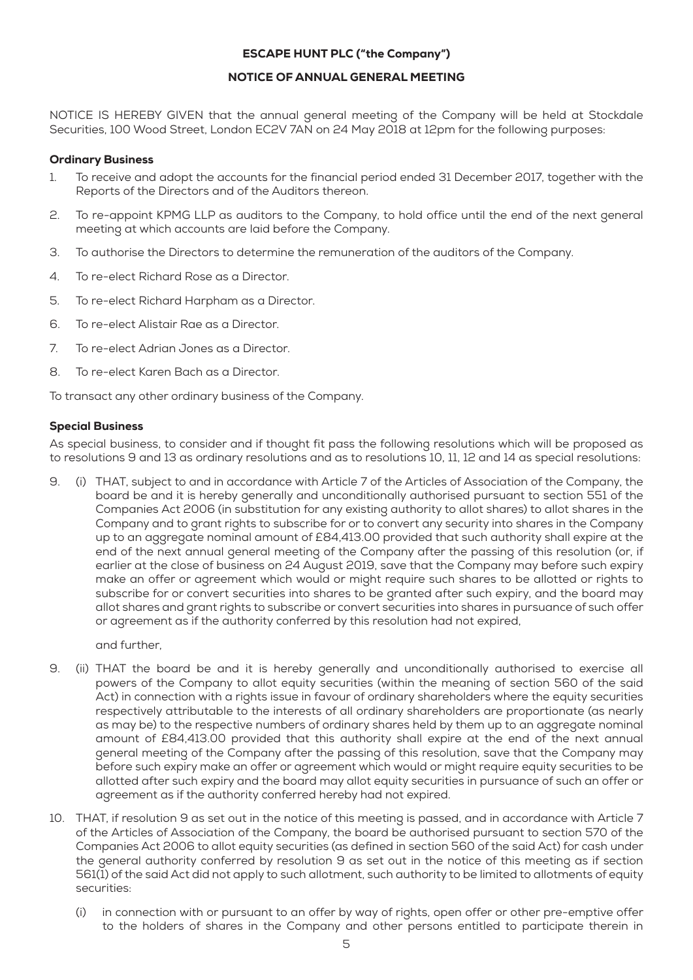# ESCAPE HUNT PLC ("the Company")

# NOTICE OF ANNUAL GENERAL MEETING

NOTICE IS HEREBY GIVEN that the annual general meeting of the Company will be held at Stockdale Securities, 100 Wood Street, London EC2V 7AN on 24 May 2018 at 12pm for the following purposes:

#### Ordinary Business

- 1. To receive and adopt the accounts for the financial period ended 31 December 2017, together with the Reports of the Directors and of the Auditors thereon.
- 2. To re-appoint KPMG LLP as auditors to the Company, to hold office until the end of the next general meeting at which accounts are laid before the Company.
- 3. To authorise the Directors to determine the remuneration of the auditors of the Company.
- 4. To re-elect Richard Rose as a Director.
- 5. To re-elect Richard Harpham as a Director.
- 6. To re-elect Alistair Rae as a Director.
- 7. To re-elect Adrian Jones as a Director.
- 8. To re-elect Karen Bach as a Director.

To transact any other ordinary business of the Company.

#### Special Business

As special business, to consider and if thought fit pass the following resolutions which will be proposed as to resolutions 9 and 13 as ordinary resolutions and as to resolutions 10, 11, 12 and 14 as special resolutions:

9. (i) THAT, subject to and in accordance with Article 7 of the Articles of Association of the Company, the board be and it is hereby generally and unconditionally authorised pursuant to section 551 of the Companies Act 2006 (in substitution for any existing authority to allot shares) to allot shares in the Company and to grant rights to subscribe for or to convert any security into shares in the Company up to an aggregate nominal amount of £84,413.00 provided that such authority shall expire at the end of the next annual general meeting of the Company after the passing of this resolution (or, if earlier at the close of business on 24 August 2019, save that the Company may before such expiry make an offer or agreement which would or might require such shares to be allotted or rights to subscribe for or convert securities into shares to be granted after such expiry, and the board may allot shares and grant rights to subscribe or convert securities into shares in pursuance of such offer or agreement as if the authority conferred by this resolution had not expired,

and further,

- 9. (ii) THAT the board be and it is hereby generally and unconditionally authorised to exercise all powers of the Company to allot equity securities (within the meaning of section 560 of the said Act) in connection with a rights issue in favour of ordinary shareholders where the equity securities respectively attributable to the interests of all ordinary shareholders are proportionate (as nearly as may be) to the respective numbers of ordinary shares held by them up to an aggregate nominal amount of £84,413.00 provided that this authority shall expire at the end of the next annual general meeting of the Company after the passing of this resolution, save that the Company may before such expiry make an offer or agreement which would or might require equity securities to be allotted after such expiry and the board may allot equity securities in pursuance of such an offer or agreement as if the authority conferred hereby had not expired.
- 10. THAT, if resolution 9 as set out in the notice of this meeting is passed, and in accordance with Article 7 of the Articles of Association of the Company, the board be authorised pursuant to section 570 of the Companies Act 2006 to allot equity securities (as defined in section 560 of the said Act) for cash under the general authority conferred by resolution 9 as set out in the notice of this meeting as if section 561(1) of the said Act did not apply to such allotment, such authority to be limited to allotments of equity securities:
	- (i) in connection with or pursuant to an offer by way of rights, open offer or other pre-emptive offer to the holders of shares in the Company and other persons entitled to participate therein in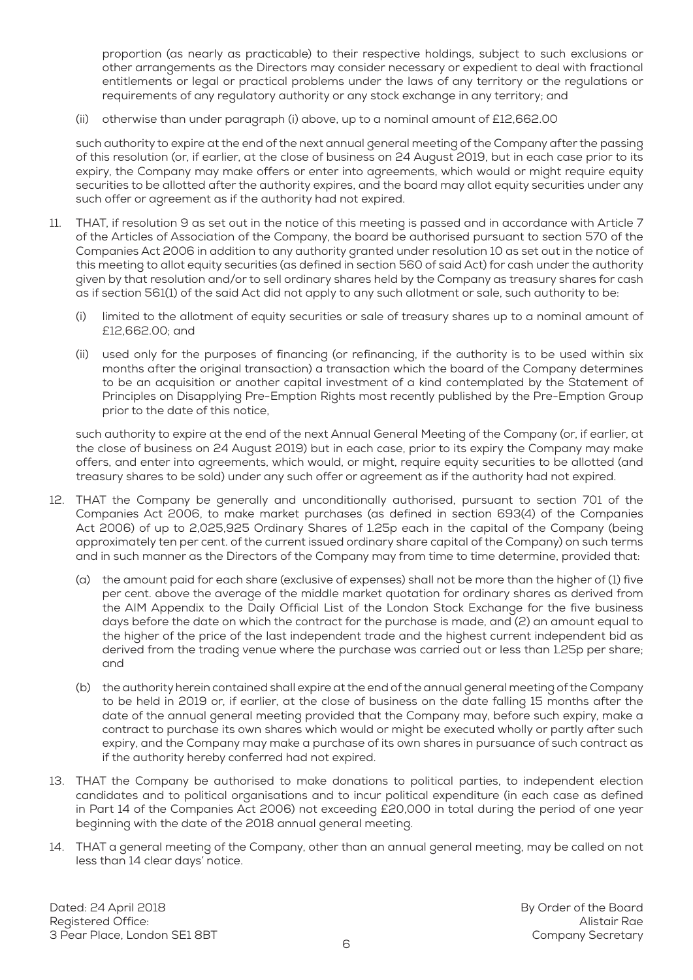proportion (as nearly as practicable) to their respective holdings, subject to such exclusions or other arrangements as the Directors may consider necessary or expedient to deal with fractional entitlements or legal or practical problems under the laws of any territory or the regulations or requirements of any regulatory authority or any stock exchange in any territory; and

(ii) otherwise than under paragraph (i) above, up to a nominal amount of £12,662.00

such authority to expire at the end of the next annual general meeting of the Company after the passing of this resolution (or, if earlier, at the close of business on 24 August 2019, but in each case prior to its expiry, the Company may make offers or enter into agreements, which would or might require equity securities to be allotted after the authority expires, and the board may allot equity securities under any such offer or agreement as if the authority had not expired.

- 11. THAT, if resolution 9 as set out in the notice of this meeting is passed and in accordance with Article 7 of the Articles of Association of the Company, the board be authorised pursuant to section 570 of the Companies Act 2006 in addition to any authority granted under resolution 10 as set out in the notice of this meeting to allot equity securities (as defined in section 560 of said Act) for cash under the authority given by that resolution and/or to sell ordinary shares held by the Company as treasury shares for cash as if section 561(1) of the said Act did not apply to any such allotment or sale, such authority to be:
	- (i) limited to the allotment of equity securities or sale of treasury shares up to a nominal amount of £12,662.00; and
	- (ii) used only for the purposes of financing (or refinancing, if the authority is to be used within six months after the original transaction) a transaction which the board of the Company determines to be an acquisition or another capital investment of a kind contemplated by the Statement of Principles on Disapplying Pre-Emption Rights most recently published by the Pre-Emption Group prior to the date of this notice,

such authority to expire at the end of the next Annual General Meeting of the Company (or, if earlier, at the close of business on 24 August 2019) but in each case, prior to its expiry the Company may make offers, and enter into agreements, which would, or might, require equity securities to be allotted (and treasury shares to be sold) under any such offer or agreement as if the authority had not expired.

- 12. THAT the Company be generally and unconditionally authorised, pursuant to section 701 of the Companies Act 2006, to make market purchases (as defined in section 693(4) of the Companies Act 2006) of up to 2,025,925 Ordinary Shares of 1.25p each in the capital of the Company (being approximately ten per cent. of the current issued ordinary share capital of the Company) on such terms and in such manner as the Directors of the Company may from time to time determine, provided that:
	- (a) the amount paid for each share (exclusive of expenses) shall not be more than the higher of (1) five per cent. above the average of the middle market quotation for ordinary shares as derived from the AIM Appendix to the Daily Official List of the London Stock Exchange for the five business days before the date on which the contract for the purchase is made, and (2) an amount equal to the higher of the price of the last independent trade and the highest current independent bid as derived from the trading venue where the purchase was carried out or less than 1.25p per share; and
	- (b) the authority herein contained shall expire at the end of the annual general meeting of the Company to be held in 2019 or, if earlier, at the close of business on the date falling 15 months after the date of the annual general meeting provided that the Company may, before such expiry, make a contract to purchase its own shares which would or might be executed wholly or partly after such expiry, and the Company may make a purchase of its own shares in pursuance of such contract as if the authority hereby conferred had not expired.
- 13. THAT the Company be authorised to make donations to political parties, to independent election candidates and to political organisations and to incur political expenditure (in each case as defined in Part 14 of the Companies Act 2006) not exceeding £20,000 in total during the period of one year beginning with the date of the 2018 annual general meeting.
- 14. THAT a general meeting of the Company, other than an annual general meeting, may be called on not less than 14 clear days' notice.